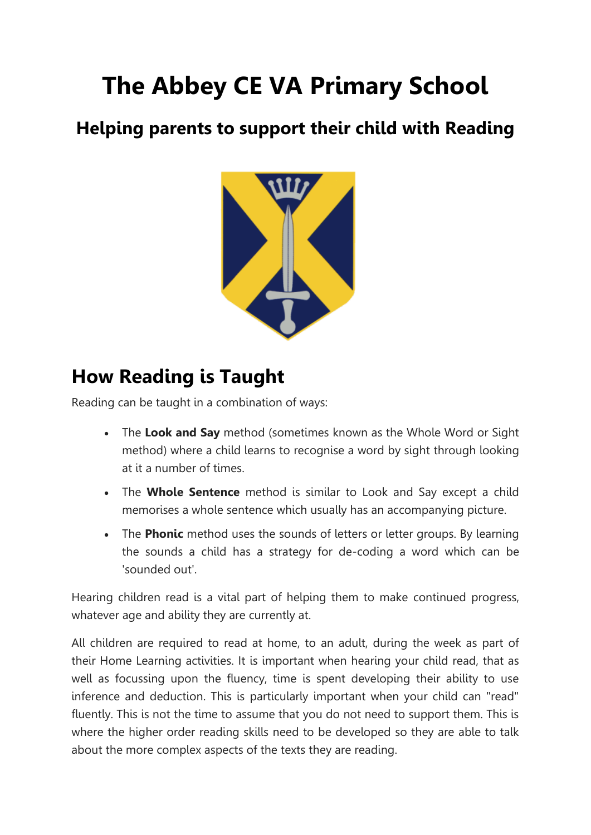# **The Abbey CE VA Primary School**

### **Helping parents to support their child with Reading**



## **How Reading is Taught**

Reading can be taught in a combination of ways:

- The **Look and Say** method (sometimes known as the Whole Word or Sight method) where a child learns to recognise a word by sight through looking at it a number of times.
- The **Whole Sentence** method is similar to Look and Say except a child memorises a whole sentence which usually has an accompanying picture.
- The **Phonic** method uses the sounds of letters or letter groups. By learning the sounds a child has a strategy for de-coding a word which can be 'sounded out'.

Hearing children read is a vital part of helping them to make continued progress, whatever age and ability they are currently at.

All children are required to read at home, to an adult, during the week as part of their Home Learning activities. It is important when hearing your child read, that as well as focussing upon the fluency, time is spent developing their ability to use inference and deduction. This is particularly important when your child can "read" fluently. This is not the time to assume that you do not need to support them. This is where the higher order reading skills need to be developed so they are able to talk about the more complex aspects of the texts they are reading.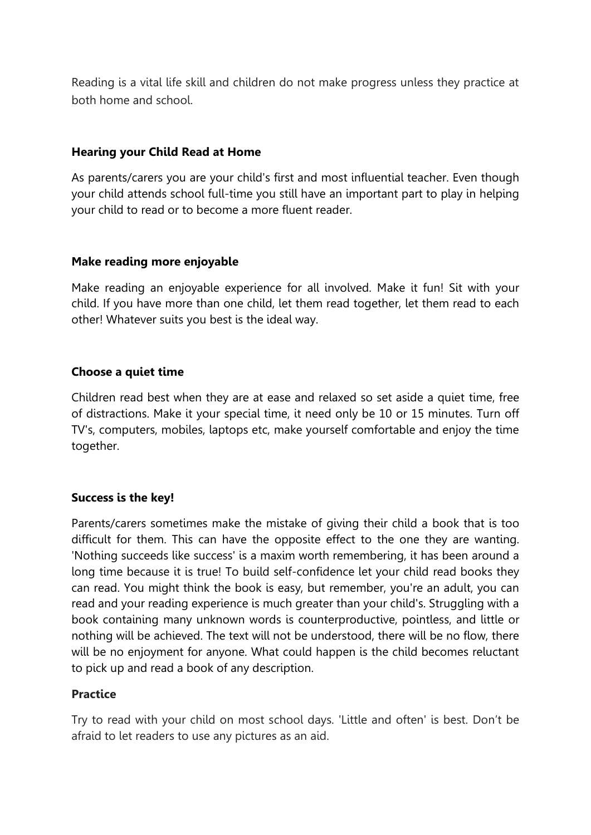Reading is a vital life skill and children do not make progress unless they practice at both home and school.

#### **Hearing your Child Read at Home**

As parents/carers you are your child's first and most influential teacher. Even though your child attends school full-time you still have an important part to play in helping your child to read or to become a more fluent reader.

#### **Make reading more enjoyable**

Make reading an enjoyable experience for all involved. Make it fun! Sit with your child. If you have more than one child, let them read together, let them read to each other! Whatever suits you best is the ideal way.

#### **Choose a quiet time**

Children read best when they are at ease and relaxed so set aside a quiet time, free of distractions. Make it your special time, it need only be 10 or 15 minutes. Turn off TV's, computers, mobiles, laptops etc, make yourself comfortable and enjoy the time together.

#### **Success is the key!**

Parents/carers sometimes make the mistake of giving their child a book that is too difficult for them. This can have the opposite effect to the one they are wanting. 'Nothing succeeds like success' is a maxim worth remembering, it has been around a long time because it is true! To build self-confidence let your child read books they can read. You might think the book is easy, but remember, you're an adult, you can read and your reading experience is much greater than your child's. Struggling with a book containing many unknown words is counterproductive, pointless, and little or nothing will be achieved. The text will not be understood, there will be no flow, there will be no enjoyment for anyone. What could happen is the child becomes reluctant to pick up and read a book of any description.

#### **Practice**

Try to read with your child on most school days. 'Little and often' is best. Don't be afraid to let readers to use any pictures as an aid.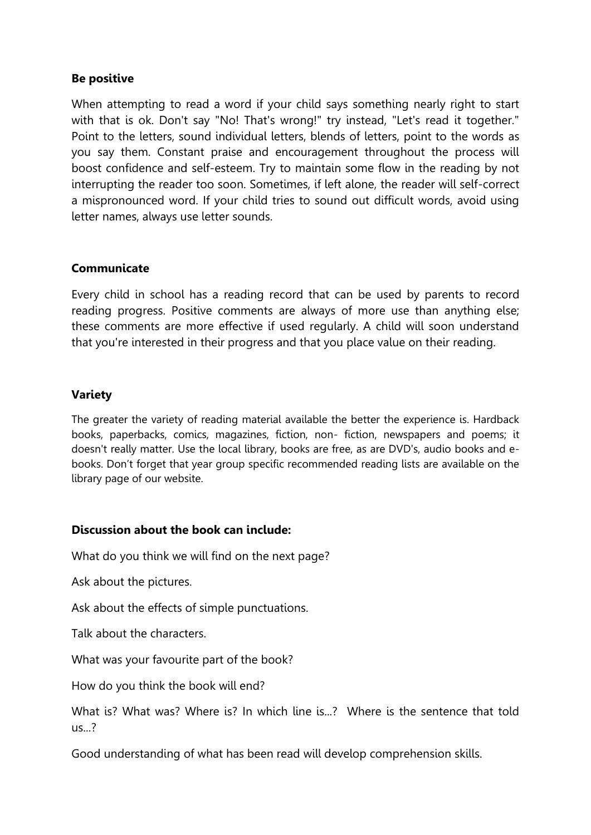#### **Be positive**

When attempting to read a word if your child says something nearly right to start with that is ok. Don't say "No! That's wrong!" try instead, "Let's read it together." Point to the letters, sound individual letters, blends of letters, point to the words as you say them. Constant praise and encouragement throughout the process will boost confidence and self-esteem. Try to maintain some flow in the reading by not interrupting the reader too soon. Sometimes, if left alone, the reader will self-correct a mispronounced word. If your child tries to sound out difficult words, avoid using letter names, always use letter sounds.

#### **Communicate**

Every child in school has a reading record that can be used by parents to record reading progress. Positive comments are always of more use than anything else; these comments are more effective if used regularly. A child will soon understand that you're interested in their progress and that you place value on their reading.

#### **Variety**

The greater the variety of reading material available the better the experience is. Hardback books, paperbacks, comics, magazines, fiction, non- fiction, newspapers and poems; it doesn't really matter. Use the local library, books are free, as are DVD's, audio books and ebooks. Don't forget that year group specific recommended reading lists are available on the library page of our website.

#### **Discussion about the book can include:**

What do you think we will find on the next page?

Ask about the pictures.

Ask about the effects of simple punctuations.

Talk about the characters.

What was your favourite part of the book?

How do you think the book will end?

What is? What was? Where is? In which line is...? Where is the sentence that told  $\frac{115}{2}$ 

Good understanding of what has been read will develop comprehension skills.